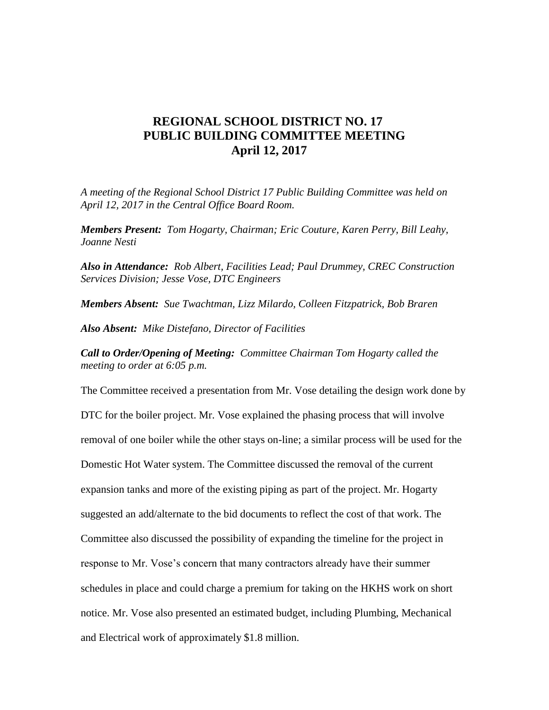## **REGIONAL SCHOOL DISTRICT NO. 17 PUBLIC BUILDING COMMITTEE MEETING April 12, 2017**

*A meeting of the Regional School District 17 Public Building Committee was held on April 12, 2017 in the Central Office Board Room.*

*Members Present: Tom Hogarty, Chairman; Eric Couture, Karen Perry, Bill Leahy, Joanne Nesti*

*Also in Attendance: Rob Albert, Facilities Lead; Paul Drummey, CREC Construction Services Division; Jesse Vose, DTC Engineers*

*Members Absent: Sue Twachtman, Lizz Milardo, Colleen Fitzpatrick, Bob Braren*

*Also Absent: Mike Distefano, Director of Facilities*

*Call to Order/Opening of Meeting: Committee Chairman Tom Hogarty called the meeting to order at 6:05 p.m.*

The Committee received a presentation from Mr. Vose detailing the design work done by DTC for the boiler project. Mr. Vose explained the phasing process that will involve removal of one boiler while the other stays on-line; a similar process will be used for the Domestic Hot Water system. The Committee discussed the removal of the current expansion tanks and more of the existing piping as part of the project. Mr. Hogarty suggested an add/alternate to the bid documents to reflect the cost of that work. The Committee also discussed the possibility of expanding the timeline for the project in response to Mr. Vose's concern that many contractors already have their summer schedules in place and could charge a premium for taking on the HKHS work on short notice. Mr. Vose also presented an estimated budget, including Plumbing, Mechanical and Electrical work of approximately \$1.8 million.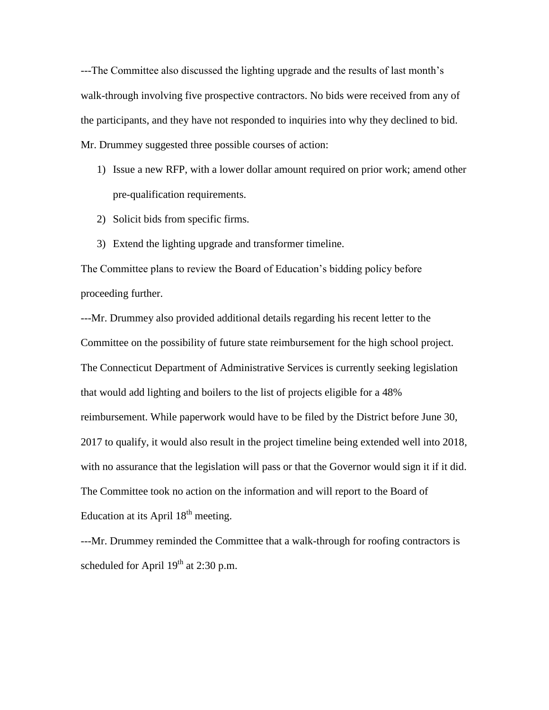---The Committee also discussed the lighting upgrade and the results of last month's walk-through involving five prospective contractors. No bids were received from any of the participants, and they have not responded to inquiries into why they declined to bid. Mr. Drummey suggested three possible courses of action:

- 1) Issue a new RFP, with a lower dollar amount required on prior work; amend other pre-qualification requirements.
- 2) Solicit bids from specific firms.
- 3) Extend the lighting upgrade and transformer timeline.

The Committee plans to review the Board of Education's bidding policy before proceeding further.

---Mr. Drummey also provided additional details regarding his recent letter to the Committee on the possibility of future state reimbursement for the high school project. The Connecticut Department of Administrative Services is currently seeking legislation that would add lighting and boilers to the list of projects eligible for a 48% reimbursement. While paperwork would have to be filed by the District before June 30, 2017 to qualify, it would also result in the project timeline being extended well into 2018, with no assurance that the legislation will pass or that the Governor would sign it if it did. The Committee took no action on the information and will report to the Board of Education at its April  $18<sup>th</sup>$  meeting.

---Mr. Drummey reminded the Committee that a walk-through for roofing contractors is scheduled for April  $19<sup>th</sup>$  at 2:30 p.m.